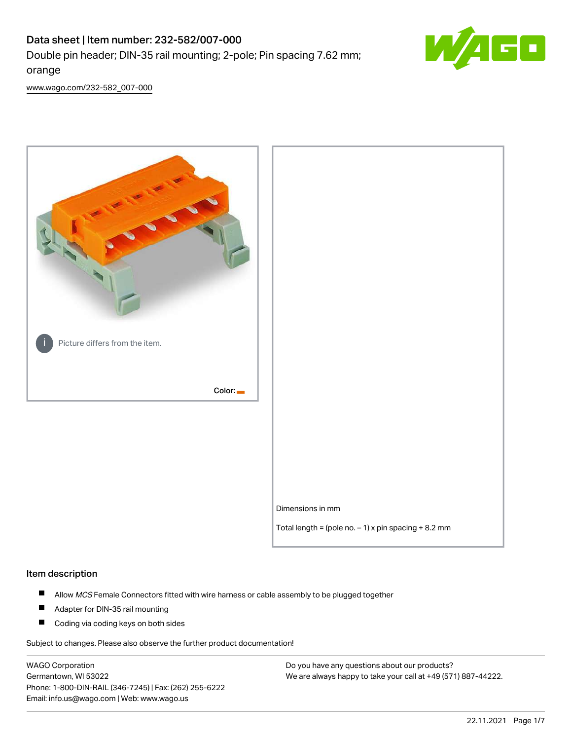# Data sheet | Item number: 232-582/007-000 Double pin header; DIN-35 rail mounting; 2-pole; Pin spacing 7.62 mm; orange



[www.wago.com/232-582\\_007-000](http://www.wago.com/232-582_007-000)



#### Item description

- $\blacksquare$ Allow MCS Female Connectors fitted with wire harness or cable assembly to be plugged together
- $\blacksquare$ Adapter for DIN-35 rail mounting
- $\blacksquare$ Coding via coding keys on both sides

Subject to changes. Please also observe the further product documentation!

WAGO Corporation Germantown, WI 53022 Phone: 1-800-DIN-RAIL (346-7245) | Fax: (262) 255-6222 Email: info.us@wago.com | Web: www.wago.us

Do you have any questions about our products? We are always happy to take your call at +49 (571) 887-44222.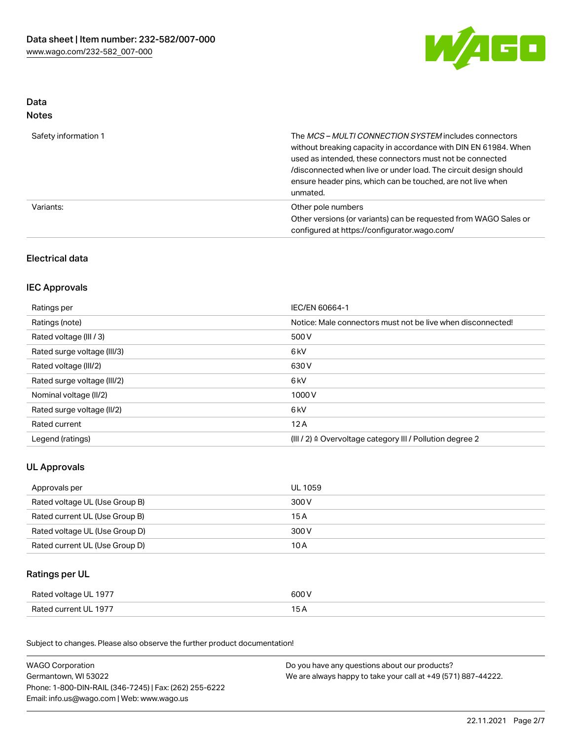

### Data Notes

| Safety information 1 | The <i>MCS – MULTI CONNECTION SYSTEM</i> includes connectors<br>without breaking capacity in accordance with DIN EN 61984. When<br>used as intended, these connectors must not be connected<br>/disconnected when live or under load. The circuit design should<br>ensure header pins, which can be touched, are not live when<br>unmated. |
|----------------------|--------------------------------------------------------------------------------------------------------------------------------------------------------------------------------------------------------------------------------------------------------------------------------------------------------------------------------------------|
| Variants:            | Other pole numbers<br>Other versions (or variants) can be requested from WAGO Sales or<br>configured at https://configurator.wago.com/                                                                                                                                                                                                     |

# Electrical data

## IEC Approvals

| Ratings per                 | IEC/EN 60664-1                                                        |
|-----------------------------|-----------------------------------------------------------------------|
| Ratings (note)              | Notice: Male connectors must not be live when disconnected!           |
| Rated voltage (III / 3)     | 500 V                                                                 |
| Rated surge voltage (III/3) | 6 <sub>kV</sub>                                                       |
| Rated voltage (III/2)       | 630 V                                                                 |
| Rated surge voltage (III/2) | 6 <sub>kV</sub>                                                       |
| Nominal voltage (II/2)      | 1000V                                                                 |
| Rated surge voltage (II/2)  | 6 <sub>kV</sub>                                                       |
| Rated current               | 12A                                                                   |
| Legend (ratings)            | $(III / 2)$ $\triangle$ Overvoltage category III / Pollution degree 2 |

# UL Approvals

| Approvals per                  | UL 1059 |
|--------------------------------|---------|
| Rated voltage UL (Use Group B) | 300 V   |
| Rated current UL (Use Group B) | 15 A    |
| Rated voltage UL (Use Group D) | 300 V   |
| Rated current UL (Use Group D) | 10 A    |

# Ratings per UL

| Rated voltage UL 1977 | 600 V |
|-----------------------|-------|
| Rated current UL 1977 |       |

Subject to changes. Please also observe the further product documentation!

| <b>WAGO Corporation</b>                                | Do you have any questions about our products?                 |  |
|--------------------------------------------------------|---------------------------------------------------------------|--|
| Germantown, WI 53022                                   | We are always happy to take your call at +49 (571) 887-44222. |  |
| Phone: 1-800-DIN-RAIL (346-7245)   Fax: (262) 255-6222 |                                                               |  |
| Email: info.us@wago.com   Web: www.wago.us             |                                                               |  |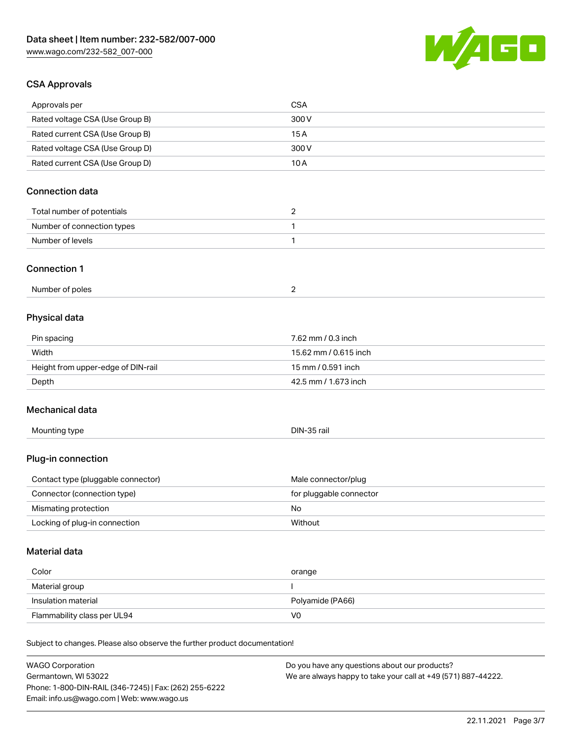

## CSA Approvals

| Approvals per                                                              | <b>CSA</b>                                    |
|----------------------------------------------------------------------------|-----------------------------------------------|
| Rated voltage CSA (Use Group B)                                            | 300 V                                         |
| Rated current CSA (Use Group B)                                            | 15A                                           |
| Rated voltage CSA (Use Group D)                                            | 300V                                          |
| Rated current CSA (Use Group D)                                            | 10A                                           |
|                                                                            |                                               |
| <b>Connection data</b>                                                     |                                               |
| Total number of potentials                                                 | $\overline{2}$                                |
| Number of connection types                                                 | 1                                             |
| Number of levels                                                           | $\mathbf{1}$                                  |
|                                                                            |                                               |
| <b>Connection 1</b>                                                        |                                               |
| Number of poles                                                            | $\overline{2}$                                |
|                                                                            |                                               |
| Physical data                                                              |                                               |
| Pin spacing                                                                | 7.62 mm / 0.3 inch                            |
| Width                                                                      | 15.62 mm / 0.615 inch                         |
| Height from upper-edge of DIN-rail                                         | 15 mm / 0.591 inch                            |
| Depth                                                                      | 42.5 mm / 1.673 inch                          |
|                                                                            |                                               |
| Mechanical data                                                            |                                               |
| Mounting type                                                              | DIN-35 rail                                   |
|                                                                            |                                               |
| Plug-in connection                                                         |                                               |
| Contact type (pluggable connector)                                         | Male connector/plug                           |
| Connector (connection type)                                                | for pluggable connector                       |
| Mismating protection                                                       | No                                            |
| Locking of plug-in connection                                              | Without                                       |
|                                                                            |                                               |
| <b>Material data</b>                                                       |                                               |
| Color                                                                      | orange                                        |
| Material group                                                             |                                               |
| Insulation material                                                        | Polyamide (PA66)                              |
| Flammability class per UL94                                                | V <sub>0</sub>                                |
|                                                                            |                                               |
| Subject to changes. Please also observe the further product documentation! |                                               |
| <b>WAGO Corporation</b>                                                    | Do you have any questions about our products? |

WAGO Corporation Germantown, WI 53022 Phone: 1-800-DIN-RAIL (346-7245) | Fax: (262) 255-6222 Email: info.us@wago.com | Web: www.wago.us

Do you have any questions about our products? We are always happy to take your call at +49 (571) 887-44222.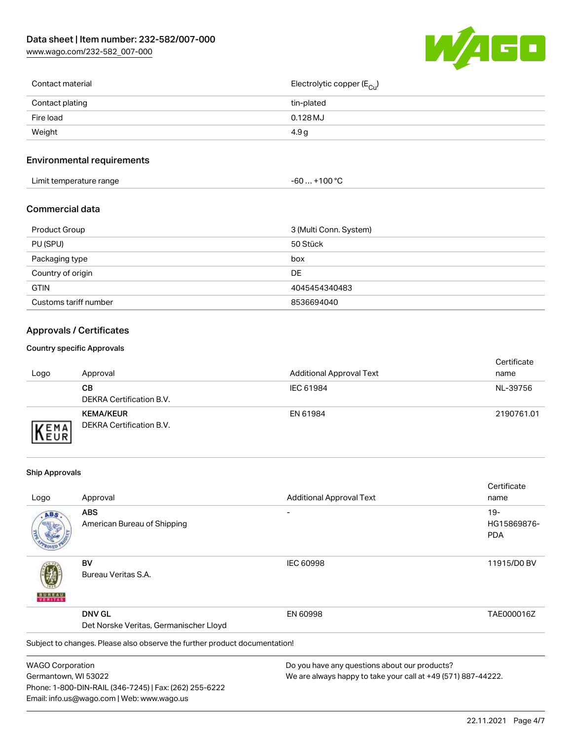[www.wago.com/232-582\\_007-000](http://www.wago.com/232-582_007-000)



| Contact material | Electrolytic copper (E <sub>Cu</sub> ) |
|------------------|----------------------------------------|
| Contact plating  | tin-plated                             |
| Fire load        | $0.128$ MJ                             |
| Weight           | 4.9 <sub>g</sub>                       |
|                  |                                        |

# Environmental requirements

| Limit temperature range | ⊥+100 °ົ<br>-60 |
|-------------------------|-----------------|
|-------------------------|-----------------|

### Commercial data

| Product Group         | 3 (Multi Conn. System) |
|-----------------------|------------------------|
| PU (SPU)              | 50 Stück               |
| Packaging type        | box                    |
| Country of origin     | DE.                    |
| <b>GTIN</b>           | 4045454340483          |
| Customs tariff number | 8536694040             |

# Approvals / Certificates

#### Country specific Approvals

| Logo               | Approval                                     | <b>Additional Approval Text</b> | Certificate<br>name |
|--------------------|----------------------------------------------|---------------------------------|---------------------|
|                    | CВ<br>DEKRA Certification B.V.               | IEC 61984                       | NL-39756            |
| EMA<br><b>NEUR</b> | <b>KEMA/KEUR</b><br>DEKRA Certification B.V. | EN 61984                        | 2190761.01          |

#### Ship Approvals

Email: info.us@wago.com | Web: www.wago.us

|                         |                                                                            |                                                               | Certificate |
|-------------------------|----------------------------------------------------------------------------|---------------------------------------------------------------|-------------|
| Logo                    | Approval                                                                   | <b>Additional Approval Text</b>                               | name        |
| ABS                     | <b>ABS</b>                                                                 |                                                               | $19-$       |
|                         | American Bureau of Shipping                                                |                                                               | HG15869876- |
|                         |                                                                            |                                                               | <b>PDA</b>  |
|                         | BV                                                                         | <b>IEC 60998</b>                                              | 11915/D0 BV |
|                         | Bureau Veritas S.A.                                                        |                                                               |             |
|                         | <b>DNV GL</b>                                                              | EN 60998                                                      | TAE000016Z  |
|                         | Det Norske Veritas, Germanischer Lloyd                                     |                                                               |             |
|                         | Subject to changes. Please also observe the further product documentation! |                                                               |             |
| <b>WAGO Corporation</b> |                                                                            | Do you have any questions about our products?                 |             |
| Germantown, WI 53022    |                                                                            | We are always happy to take your call at +49 (571) 887-44222. |             |
|                         | Phone: 1-800-DIN-RAIL (346-7245)   Fax: (262) 255-6222                     |                                                               |             |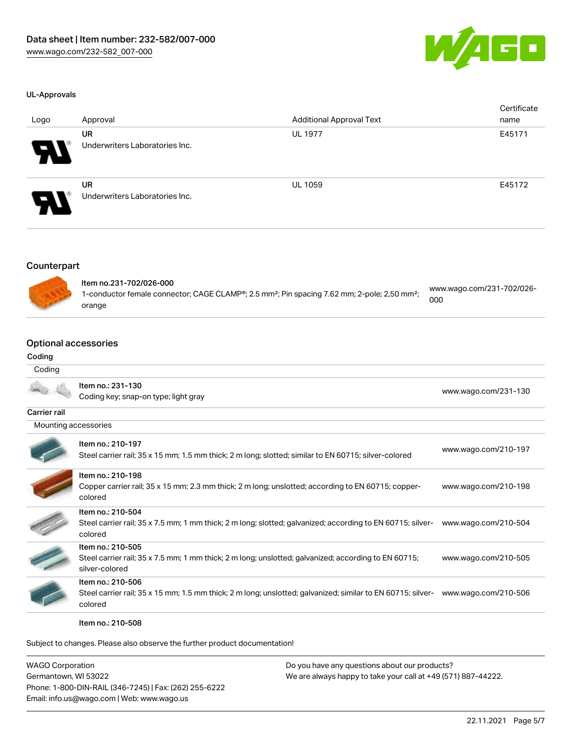

#### UL-Approvals

| Logo                   | Approval                                    | <b>Additional Approval Text</b> | Certificate<br>name |
|------------------------|---------------------------------------------|---------------------------------|---------------------|
| $\boldsymbol{\varphi}$ | UR<br>Underwriters Laboratories Inc.        | <b>UL 1977</b>                  | E45171              |
| 8                      | <b>UR</b><br>Underwriters Laboratories Inc. | <b>UL 1059</b>                  | E45172              |

### Counterpart



| Item no.231-702/026-000                                                                                              |                                  |
|----------------------------------------------------------------------------------------------------------------------|----------------------------------|
| 1-conductor female connector; CAGE CLAMP®; 2.5 mm <sup>2</sup> ; Pin spacing 7.62 mm; 2-pole; 2,50 mm <sup>2</sup> ; | www.wago.com/231-702/026-<br>000 |
| orange                                                                                                               |                                  |

# Optional accessories

#### Coding

| Coding               |                                                                                                                                             |                      |
|----------------------|---------------------------------------------------------------------------------------------------------------------------------------------|----------------------|
|                      | Item no.: 231-130<br>Coding key; snap-on type; light gray                                                                                   | www.wago.com/231-130 |
| Carrier rail         |                                                                                                                                             |                      |
| Mounting accessories |                                                                                                                                             |                      |
|                      | Item no.: 210-197<br>Steel carrier rail; 35 x 15 mm; 1.5 mm thick; 2 m long; slotted; similar to EN 60715; silver-colored                   | www.wago.com/210-197 |
|                      | Item no.: 210-198<br>Copper carrier rail; 35 x 15 mm; 2.3 mm thick; 2 m long; unslotted; according to EN 60715; copper-<br>colored          | www.wago.com/210-198 |
|                      | Item no.: 210-504<br>Steel carrier rail; 35 x 7.5 mm; 1 mm thick; 2 m long; slotted; galvanized; according to EN 60715; silver-<br>colored  | www.wago.com/210-504 |
|                      | Item no.: 210-505<br>Steel carrier rail; 35 x 7.5 mm; 1 mm thick; 2 m long; unslotted; galvanized; according to EN 60715;<br>silver-colored | www.wago.com/210-505 |
|                      | Item no.: 210-506<br>Steel carrier rail; 35 x 15 mm; 1.5 mm thick; 2 m long; unslotted; galvanized; similar to EN 60715; silver-<br>colored | www.wago.com/210-506 |

Item no.: 210-508

Subject to changes. Please also observe the further product documentation!

| <b>WAGO Corporation</b>                                | Do you have any questions about our products?                 |
|--------------------------------------------------------|---------------------------------------------------------------|
| Germantown, WI 53022                                   | We are always happy to take your call at +49 (571) 887-44222. |
| Phone: 1-800-DIN-RAIL (346-7245)   Fax: (262) 255-6222 |                                                               |
| Email: info.us@wago.com   Web: www.wago.us             |                                                               |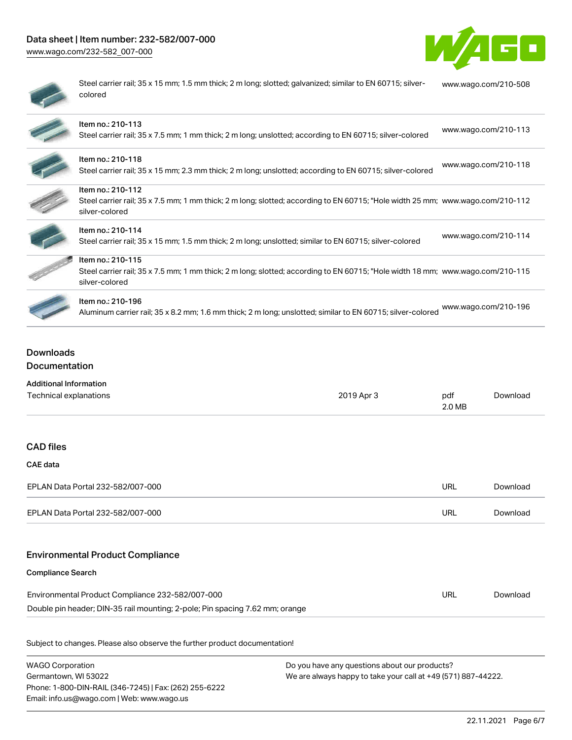# Data sheet | Item number: 232-582/007-000

[www.wago.com/232-582\\_007-000](http://www.wago.com/232-582_007-000)



| ۱ |
|---|
|   |
|   |

Steel carrier rail; 35 x 15 mm; 1.5 mm thick; 2 m long; slotted; galvanized; similar to EN 60715; silvercolored [www.wago.com/210-508](http://www.wago.com/210-508)

| Item no.: 210-113<br>Steel carrier rail; 35 x 7.5 mm; 1 mm thick; 2 m long; unslotted; according to EN 60715; silver-colored                                          | www.wago.com/210-113 |
|-----------------------------------------------------------------------------------------------------------------------------------------------------------------------|----------------------|
| Item no.: 210-118<br>Steel carrier rail; 35 x 15 mm; 2.3 mm thick; 2 m long; unslotted; according to EN 60715; silver-colored                                         | www.wago.com/210-118 |
| Item no.: 210-112<br>Steel carrier rail; 35 x 7.5 mm; 1 mm thick; 2 m long; slotted; according to EN 60715; "Hole width 25 mm; www.wago.com/210-112<br>silver-colored |                      |
| Item no.: 210-114<br>Steel carrier rail; 35 x 15 mm; 1.5 mm thick; 2 m long; unslotted; similar to EN 60715; silver-colored                                           | www.wago.com/210-114 |
| Item no.: 210-115<br>Steel carrier rail; 35 x 7.5 mm; 1 mm thick; 2 m long; slotted; according to EN 60715; "Hole width 18 mm; www.wago.com/210-115<br>silver-colored |                      |
| Item no.: 210-196<br>Aluminum carrier rail; 35 x 8.2 mm; 1.6 mm thick; 2 m long; unslotted; similar to EN 60715; silver-colored                                       | www.wago.com/210-196 |

# Downloads Documentation

| <b>Additional Information</b>                                                |            |               |          |
|------------------------------------------------------------------------------|------------|---------------|----------|
| Technical explanations                                                       | 2019 Apr 3 | pdf<br>2.0 MB | Download |
|                                                                              |            |               |          |
| <b>CAD files</b>                                                             |            |               |          |
| <b>CAE data</b>                                                              |            |               |          |
| EPLAN Data Portal 232-582/007-000                                            |            | <b>URL</b>    | Download |
| EPLAN Data Portal 232-582/007-000                                            |            | <b>URL</b>    | Download |
| <b>Environmental Product Compliance</b>                                      |            |               |          |
| <b>Compliance Search</b>                                                     |            |               |          |
| Environmental Product Compliance 232-582/007-000                             |            | <b>URL</b>    | Download |
| Double pin header; DIN-35 rail mounting; 2-pole; Pin spacing 7.62 mm; orange |            |               |          |
| Subject to changes. Please also observe the further product documentation!   |            |               |          |
|                                                                              |            |               |          |

| WAGO Corporation                                       | Do you have any questions about our products?                 |
|--------------------------------------------------------|---------------------------------------------------------------|
| Germantown, WI 53022                                   | We are always happy to take your call at +49 (571) 887-44222. |
| Phone: 1-800-DIN-RAIL (346-7245)   Fax: (262) 255-6222 |                                                               |
| Email: info.us@wago.com   Web: www.wago.us             |                                                               |